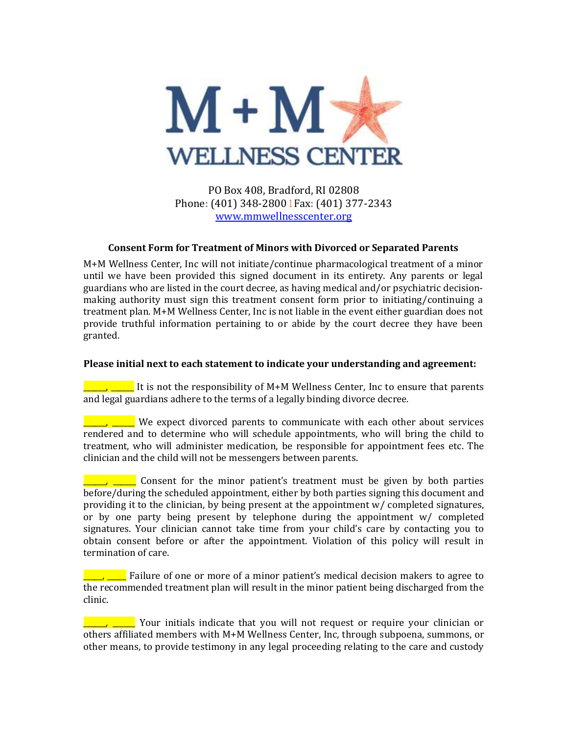

PO Box 408, Bradford, RI 02808 Phone: (401) 348-2800 1 Fax: (401) 377-2343 [www.mmwellnesscenter.org](http://www.mmwellnesscenter.org/)

## **Consent Form for Treatment of Minors with Divorced or Separated Parents**

M+M Wellness Center, Inc will not initiate/continue pharmacological treatment of a minor until we have been provided this signed document in its entirety. Any parents or legal guardians who are listed in the court decree, as having medical and/or psychiatric decisionmaking authority must sign this treatment consent form prior to initiating/continuing a treatment plan. M+M Wellness Center, Inc is not liable in the event either guardian does not provide truthful information pertaining to or abide by the court decree they have been granted.

## **Please initial next to each statement to indicate your understanding and agreement:**

 $\frac{1}{\sqrt{2\pi}}$  It is not the responsibility of M+M Wellness Center, Inc to ensure that parents and legal guardians adhere to the terms of a legally binding divorce decree.

 $\blacksquare$ ,  $\blacksquare$  We expect divorced parents to communicate with each other about services rendered and to determine who will schedule appointments, who will bring the child to treatment, who will administer medication, be responsible for appointment fees etc. The clinician and the child will not be messengers between parents.

 $\blacksquare$ ,  $\blacksquare$  Consent for the minor patient's treatment must be given by both parties before/during the scheduled appointment, either by both parties signing this document and providing it to the clinician, by being present at the appointment w/ completed signatures, or by one party being present by telephone during the appointment w/ completed signatures. Your clinician cannot take time from your child's care by contacting you to obtain consent before or after the appointment. Violation of this policy will result in termination of care.

 $\Box$ ,  $\Box$  Failure of one or more of a minor patient's medical decision makers to agree to the recommended treatment plan will result in the minor patient being discharged from the clinic.

\_\_\_\_\_\_, \_\_\_\_\_\_ Your initials indicate that you will not request or require your clinician or others affiliated members with M+M Wellness Center, Inc, through subpoena, summons, or other means, to provide testimony in any legal proceeding relating to the care and custody